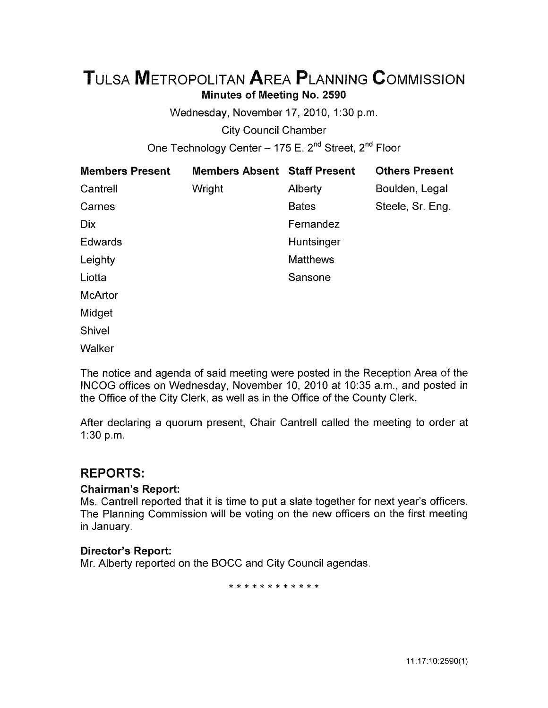# TuLsA METROPOLITAN AREA PLANNING CoMMISSION Minutes of Meeting No. 2590

Wednesday, November 17, 2010, 1:30 p.m.

City Council Chamber

One Technology Center - 175 E. 2<sup>nd</sup> Street, 2<sup>nd</sup> Floor

| <b>Members Present</b> | <b>Members Absent</b> | <b>Staff Present</b> | <b>Others Present</b> |
|------------------------|-----------------------|----------------------|-----------------------|
| Cantrell               | Wright                | Alberty              | Boulden, Legal        |
| Carnes                 |                       | <b>Bates</b>         | Steele, Sr. Eng.      |
| Dix                    |                       | Fernandez            |                       |
| Edwards                |                       | Huntsinger           |                       |
| Leighty                |                       | <b>Matthews</b>      |                       |
| Liotta                 |                       | Sansone              |                       |
| <b>McArtor</b>         |                       |                      |                       |
| Midget                 |                       |                      |                       |
| Shivel                 |                       |                      |                       |
| Walker                 |                       |                      |                       |

The notice and agenda of said meeting were posted in the Reception Area of the INCOG offices on Wednesday, November 10, 2010 at 10:35 a.m., and posted in the Office of the City Clerk, as well as in the Office of the County Clerk.

After declaring a quorum present, Chair Cantrell called the meeting to order at 1:30 p.m.

# REPORTS:

#### Chairman's Report:

Ms. Cantrell reported that it is time to put a slate together for next year's officers. The Planning Commission will be voting on the new officers on the first meeting in January.

#### Director's Report:

Mr. Alberty reported on the BOCC and City Council agendas.

\* \* \* \* \* \* \* \* \* \* \*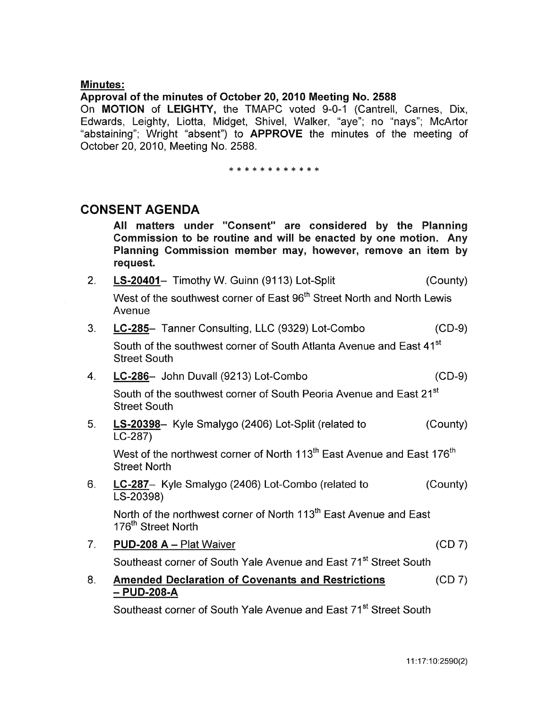#### Minutes:

#### Approval of the minutes of October 20, 2010 Meeting No. 2588

On MOTION of LEIGHTY, the TMAPC voted 9-0-1 (Cantrell, Carnes, Dix, Edwards, Leighty, Liotta, Midget, Shivel, Walker, "aye"; no "nays"; McArtor "abstaining"; Wright "absent") to APPROVE the minutes of the meeting of October 20, 2010, Meeting No. 2588.

\* \* \* \* \* \* \* \* \* \* \* \*

### CONSENT AGENDA

All matters under "Consent" are considered by the Planning Commission to be routine and will be enacted by one motion. Any Planning Commission member may, however, remove an item by request.

2. LS-20401- Timothy W. Guinn (9113) Lot-Split (County)

West of the southwest corner of East 96<sup>th</sup> Street North and North Lewis Avenue

3. LC-285- Tanner Consulting, LLC (9329) Lot-Combo (CD-9)

South of the southwest corner of South Atlanta Avenue and East 41<sup>st</sup> Street South

- 4. LC-286- John Duvall (9213) Lot-Combo (CD-9) South of the southwest corner of South Peoria Avenue and East 21<sup>st</sup> Street South
- 5. LS-20398- Kyle Smalygo (2406) Lot-Split (related to LC-287) (County)

West of the northwest corner of North 113 $^{\rm th}$  East Avenue and East 176 $^{\rm th}$  . Street North

6. LC-287- Kyle Smalygo (2406) Lot-Combo (related to (County) LS-20398)

North of the northwest corner of North 113<sup>th</sup> East Avenue and East 176<sup>th</sup> Street North

7. PUD-208 A- Plat Waiver (CD 7)

Southeast corner of South Yale Avenue and East 71<sup>st</sup> Street South

8. Amended Declaration of Covenants and Restrictions  $-$  PUD-208-A (CD 7)

Southeast corner of South Yale Avenue and East 71<sup>st</sup> Street South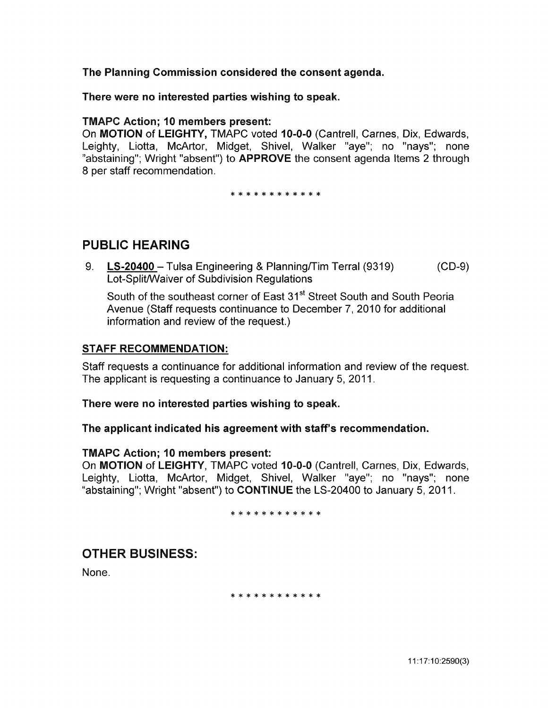The Planning Commission considered the consent agenda.

There were no interested parties wishing to speak.

#### TMAPC Action; 10 members present:

On MOTION of LEIGHTY, TMAPC voted 10-0-0 (Cantrell, Carnes, Dix, Edwards, Leighty, Liotta, McArtor, Midget, Shive!, Walker "aye"; no "nays"; none "abstaining"; Wright "absent") to **APPROVE** the consent agenda Items 2 through 8 per staff recommendation.

\* \* \* \* \* \* \* \* \* \* \*

# PUBLIC HEARING

9. LS-20400- Tulsa Engineering & Planning/Tim Terral (9319) Lot-Split/Waiver of Subdivision Regulations (CD-9)

South of the southeast corner of East 31<sup>st</sup> Street South and South Peoria Avenue (Staff requests continuance to December 7, 2010 for additional information and review of the request.)

#### STAFF RECOMMENDATION:

Staff requests a continuance for additional information and review of the request. The applicant is requesting a continuance to January 5, 2011.

There were no interested parties wishing to speak.

The applicant indicated his agreement with staff's recommendation.

#### TMAPC Action; 10 members present:

On MOTION of LEIGHTY, TMAPC voted 10-0-0 (Cantrell, Carnes, Dix, Edwards, Leighty, Liotta, McArtor, Midget, Shivel, Walker "aye"; no "nays"; none "abstaining"; Wright "absent") to CONTINUE the LS-20400 to January 5, 2011.

\* \* \* \* \* \* \* \* \* \* \* \*

# OTHER BUSINESS:

None.

\* \* \* \* \* \* \* \* \* \* \* \*